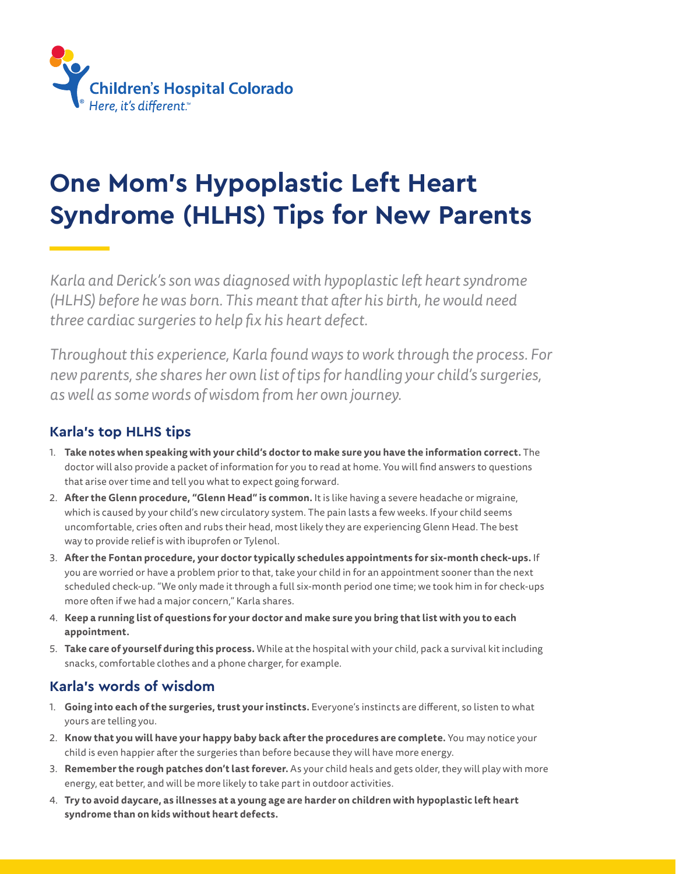

## **One Mom's Hypoplastic Left Heart Syndrome (HLHS) Tips for New Parents**

*Karla and Derick's son was diagnosed with hypoplastic left heart syndrome (HLHS) before he was born. This meant that after his birth, he would need three cardiac surgeries to help fix his heart defect.* 

*Throughout this experience, Karla found ways to work through the process. For new parents, she shares her own list of tips for handling your child's surgeries, as well as some words of wisdom from her own journey.*

## **Karla's top HLHS tips**

- 1. **Take notes when speaking with your child's doctor to make sure you have the information correct.** The doctor will also provide a packet of information for you to read at home. You will find answers to questions that arise over time and tell you what to expect going forward.
- 2. **After the Glenn procedure, "Glenn Head" is common.** It is like having a severe headache or migraine, which is caused by your child's new circulatory system. The pain lasts a few weeks. If your child seems uncomfortable, cries often and rubs their head, most likely they are experiencing Glenn Head. The best way to provide relief is with ibuprofen or Tylenol.
- 3. **After the Fontan procedure, your doctor typically schedules appointments for six-month check-ups.** If you are worried or have a problem prior to that, take your child in for an appointment sooner than the next scheduled check-up. "We only made it through a full six-month period one time; we took him in for check-ups more often if we had a major concern," Karla shares.
- 4. **Keep a running list of questions for your doctor and make sure you bring that list with you to each appointment.**
- 5. **Take care of yourself during this process.** While at the hospital with your child, pack a survival kit including snacks, comfortable clothes and a phone charger, for example.

## **Karla's words of wisdom**

- 1. **Going into each of the surgeries, trust your instincts.** Everyone's instincts are different, so listen to what yours are telling you.
- 2. **Know that you will have your happy baby back after the procedures are complete.** You may notice your child is even happier after the surgeries than before because they will have more energy.
- 3. **Remember the rough patches don't last forever.** As your child heals and gets older, they will play with more energy, eat better, and will be more likely to take part in outdoor activities.
- 4. **Try to avoid daycare, as illnesses at a young age are harder on children with hypoplastic left heart syndrome than on kids without heart defects.**